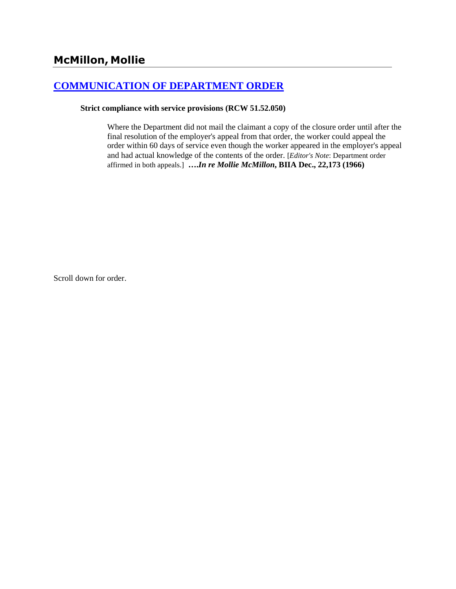# **[COMMUNICATION OF DEPARTMENT ORDER](http://www.biia.wa.gov/SDSubjectIndex.html#COMMUNICATION_OF_DEPARTMENT_ORDER)**

**Strict compliance with service provisions (RCW 51.52.050)** 

Where the Department did not mail the claimant a copy of the closure order until after the final resolution of the employer's appeal from that order, the worker could appeal the order within 60 days of service even though the worker appeared in the employer's appeal and had actual knowledge of the contents of the order. [*Editor's Note*: Department order affirmed in both appeals.] **….***In re Mollie McMillon***, BIIA Dec., 22,173 (1966)**

Scroll down for order.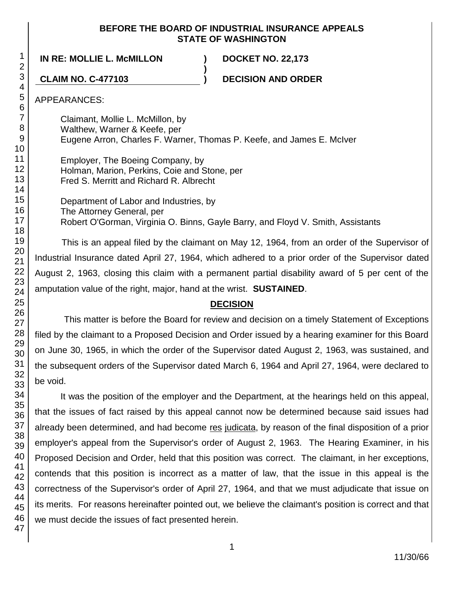## **BEFORE THE BOARD OF INDUSTRIAL INSURANCE APPEALS STATE OF WASHINGTON**

**IN RE: MOLLIE L. McMILLON ) DOCKET NO. 22,173**

**CLAIM NO. C-477103 ) DECISION AND ORDER**

APPEARANCES:

Claimant, Mollie L. McMillon, by Walthew, Warner & Keefe, per Eugene Arron, Charles F. Warner, Thomas P. Keefe, and James E. McIver

**)**

Employer, The Boeing Company, by Holman, Marion, Perkins, Coie and Stone, per Fred S. Merritt and Richard R. Albrecht

Department of Labor and Industries, by The Attorney General, per Robert O'Gorman, Virginia O. Binns, Gayle Barry, and Floyd V. Smith, Assistants

This is an appeal filed by the claimant on May 12, 1964, from an order of the Supervisor of Industrial Insurance dated April 27, 1964, which adhered to a prior order of the Supervisor dated August 2, 1963, closing this claim with a permanent partial disability award of 5 per cent of the amputation value of the right, major, hand at the wrist. **SUSTAINED**.

## **DECISION**

This matter is before the Board for review and decision on a timely Statement of Exceptions filed by the claimant to a Proposed Decision and Order issued by a hearing examiner for this Board on June 30, 1965, in which the order of the Supervisor dated August 2, 1963, was sustained, and the subsequent orders of the Supervisor dated March 6, 1964 and April 27, 1964, were declared to be void.

It was the position of the employer and the Department, at the hearings held on this appeal, that the issues of fact raised by this appeal cannot now be determined because said issues had already been determined, and had become res judicata, by reason of the final disposition of a prior employer's appeal from the Supervisor's order of August 2, 1963. The Hearing Examiner, in his Proposed Decision and Order, held that this position was correct. The claimant, in her exceptions, contends that this position is incorrect as a matter of law, that the issue in this appeal is the correctness of the Supervisor's order of April 27, 1964, and that we must adjudicate that issue on its merits. For reasons hereinafter pointed out, we believe the claimant's position is correct and that we must decide the issues of fact presented herein.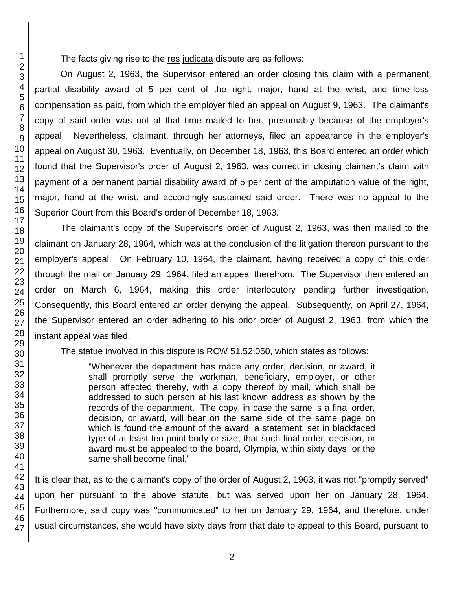The facts giving rise to the res judicata dispute are as follows:

On August 2, 1963, the Supervisor entered an order closing this claim with a permanent partial disability award of 5 per cent of the right, major, hand at the wrist, and time-loss compensation as paid, from which the employer filed an appeal on August 9, 1963. The claimant's copy of said order was not at that time mailed to her, presumably because of the employer's appeal. Nevertheless, claimant, through her attorneys, filed an appearance in the employer's appeal on August 30, 1963. Eventually, on December 18, 1963, this Board entered an order which found that the Supervisor's order of August 2, 1963, was correct in closing claimant's claim with payment of a permanent partial disability award of 5 per cent of the amputation value of the right, major, hand at the wrist, and accordingly sustained said order. There was no appeal to the Superior Court from this Board's order of December 18, 1963.

The claimant's copy of the Supervisor's order of August 2, 1963, was then mailed to the claimant on January 28, 1964, which was at the conclusion of the litigation thereon pursuant to the employer's appeal. On February 10, 1964, the claimant, having received a copy of this order through the mail on January 29, 1964, filed an appeal therefrom. The Supervisor then entered an order on March 6, 1964, making this order interlocutory pending further investigation. Consequently, this Board entered an order denying the appeal. Subsequently, on April 27, 1964, the Supervisor entered an order adhering to his prior order of August 2, 1963, from which the instant appeal was filed.

The statue involved in this dispute is RCW 51.52.050, which states as follows:

"Whenever the department has made any order, decision, or award, it shall promptly serve the workman, beneficiary, employer, or other person affected thereby, with a copy thereof by mail, which shall be addressed to such person at his last known address as shown by the records of the department. The copy, in case the same is a final order, decision, or award, will bear on the same side of the same page on which is found the amount of the award, a statement, set in blackfaced type of at least ten point body or size, that such final order, decision, or award must be appealed to the board, Olympia, within sixty days, or the same shall become final."

It is clear that, as to the claimant's copy of the order of August 2, 1963, it was not "promptly served" upon her pursuant to the above statute, but was served upon her on January 28, 1964. Furthermore, said copy was "communicated" to her on January 29, 1964, and therefore, under usual circumstances, she would have sixty days from that date to appeal to this Board, pursuant to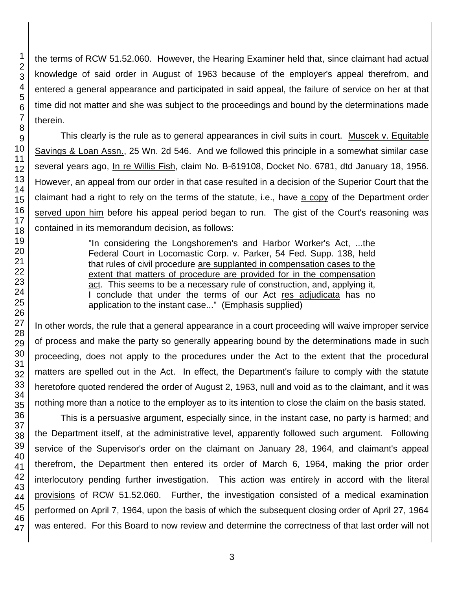the terms of RCW 51.52.060. However, the Hearing Examiner held that, since claimant had actual knowledge of said order in August of 1963 because of the employer's appeal therefrom, and entered a general appearance and participated in said appeal, the failure of service on her at that time did not matter and she was subject to the proceedings and bound by the determinations made therein.

This clearly is the rule as to general appearances in civil suits in court. Muscek v. Equitable Savings & Loan Assn., 25 Wn. 2d 546. And we followed this principle in a somewhat similar case several years ago, In re Willis Fish, claim No. B-619108, Docket No. 6781, dtd January 18, 1956. However, an appeal from our order in that case resulted in a decision of the Superior Court that the claimant had a right to rely on the terms of the statute, i.e., have a copy of the Department order served upon him before his appeal period began to run. The gist of the Court's reasoning was contained in its memorandum decision, as follows:

> "In considering the Longshoremen's and Harbor Worker's Act, ...the Federal Court in Locomastic Corp. v. Parker, 54 Fed. Supp. 138, held that rules of civil procedure are supplanted in compensation cases to the extent that matters of procedure are provided for in the compensation act. This seems to be a necessary rule of construction, and, applying it, I conclude that under the terms of our Act res adjudicata has no application to the instant case..." (Emphasis supplied)

In other words, the rule that a general appearance in a court proceeding will waive improper service of process and make the party so generally appearing bound by the determinations made in such proceeding, does not apply to the procedures under the Act to the extent that the procedural matters are spelled out in the Act. In effect, the Department's failure to comply with the statute heretofore quoted rendered the order of August 2, 1963, null and void as to the claimant, and it was nothing more than a notice to the employer as to its intention to close the claim on the basis stated.

This is a persuasive argument, especially since, in the instant case, no party is harmed; and the Department itself, at the administrative level, apparently followed such argument. Following service of the Supervisor's order on the claimant on January 28, 1964, and claimant's appeal therefrom, the Department then entered its order of March 6, 1964, making the prior order interlocutory pending further investigation. This action was entirely in accord with the literal provisions of RCW 51.52.060. Further, the investigation consisted of a medical examination performed on April 7, 1964, upon the basis of which the subsequent closing order of April 27, 1964 was entered. For this Board to now review and determine the correctness of that last order will not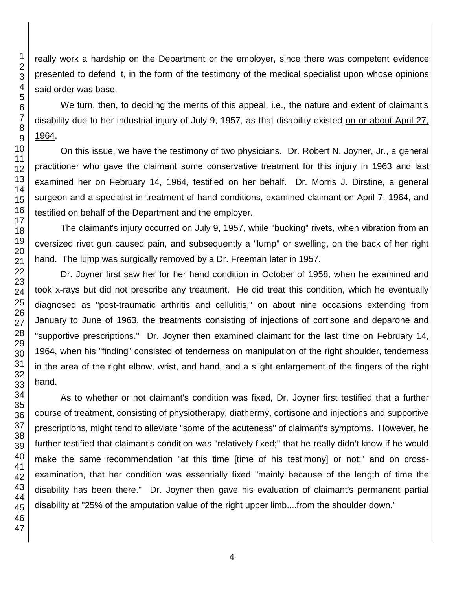really work a hardship on the Department or the employer, since there was competent evidence presented to defend it, in the form of the testimony of the medical specialist upon whose opinions said order was base.

We turn, then, to deciding the merits of this appeal, i.e., the nature and extent of claimant's disability due to her industrial injury of July 9, 1957, as that disability existed on or about April 27, 1964.

On this issue, we have the testimony of two physicians. Dr. Robert N. Joyner, Jr., a general practitioner who gave the claimant some conservative treatment for this injury in 1963 and last examined her on February 14, 1964, testified on her behalf. Dr. Morris J. Dirstine, a general surgeon and a specialist in treatment of hand conditions, examined claimant on April 7, 1964, and testified on behalf of the Department and the employer.

The claimant's injury occurred on July 9, 1957, while "bucking" rivets, when vibration from an oversized rivet gun caused pain, and subsequently a "lump" or swelling, on the back of her right hand. The lump was surgically removed by a Dr. Freeman later in 1957.

Dr. Joyner first saw her for her hand condition in October of 1958, when he examined and took x-rays but did not prescribe any treatment. He did treat this condition, which he eventually diagnosed as "post-traumatic arthritis and cellulitis," on about nine occasions extending from January to June of 1963, the treatments consisting of injections of cortisone and deparone and "supportive prescriptions." Dr. Joyner then examined claimant for the last time on February 14, 1964, when his "finding" consisted of tenderness on manipulation of the right shoulder, tenderness in the area of the right elbow, wrist, and hand, and a slight enlargement of the fingers of the right hand.

As to whether or not claimant's condition was fixed, Dr. Joyner first testified that a further course of treatment, consisting of physiotherapy, diathermy, cortisone and injections and supportive prescriptions, might tend to alleviate "some of the acuteness" of claimant's symptoms. However, he further testified that claimant's condition was "relatively fixed;" that he really didn't know if he would make the same recommendation "at this time [time of his testimony] or not;" and on crossexamination, that her condition was essentially fixed "mainly because of the length of time the disability has been there." Dr. Joyner then gave his evaluation of claimant's permanent partial disability at "25% of the amputation value of the right upper limb....from the shoulder down."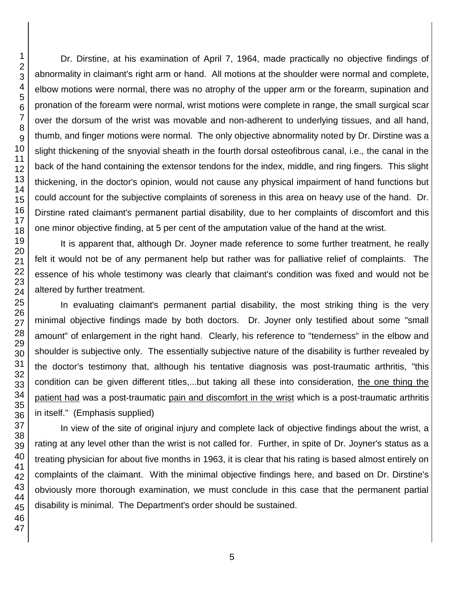Dr. Dirstine, at his examination of April 7, 1964, made practically no objective findings of abnormality in claimant's right arm or hand. All motions at the shoulder were normal and complete, elbow motions were normal, there was no atrophy of the upper arm or the forearm, supination and pronation of the forearm were normal, wrist motions were complete in range, the small surgical scar over the dorsum of the wrist was movable and non-adherent to underlying tissues, and all hand, thumb, and finger motions were normal. The only objective abnormality noted by Dr. Dirstine was a slight thickening of the snyovial sheath in the fourth dorsal osteofibrous canal, i.e., the canal in the back of the hand containing the extensor tendons for the index, middle, and ring fingers. This slight thickening, in the doctor's opinion, would not cause any physical impairment of hand functions but could account for the subjective complaints of soreness in this area on heavy use of the hand. Dr. Dirstine rated claimant's permanent partial disability, due to her complaints of discomfort and this one minor objective finding, at 5 per cent of the amputation value of the hand at the wrist.

It is apparent that, although Dr. Joyner made reference to some further treatment, he really felt it would not be of any permanent help but rather was for palliative relief of complaints. The essence of his whole testimony was clearly that claimant's condition was fixed and would not be altered by further treatment.

In evaluating claimant's permanent partial disability, the most striking thing is the very minimal objective findings made by both doctors. Dr. Joyner only testified about some "small amount" of enlargement in the right hand. Clearly, his reference to "tenderness" in the elbow and shoulder is subjective only. The essentially subjective nature of the disability is further revealed by the doctor's testimony that, although his tentative diagnosis was post-traumatic arthritis, "this condition can be given different titles,...but taking all these into consideration, the one thing the patient had was a post-traumatic pain and discomfort in the wrist which is a post-traumatic arthritis in itself." (Emphasis supplied)

In view of the site of original injury and complete lack of objective findings about the wrist, a rating at any level other than the wrist is not called for. Further, in spite of Dr. Joyner's status as a treating physician for about five months in 1963, it is clear that his rating is based almost entirely on complaints of the claimant. With the minimal objective findings here, and based on Dr. Dirstine's obviously more thorough examination, we must conclude in this case that the permanent partial disability is minimal. The Department's order should be sustained.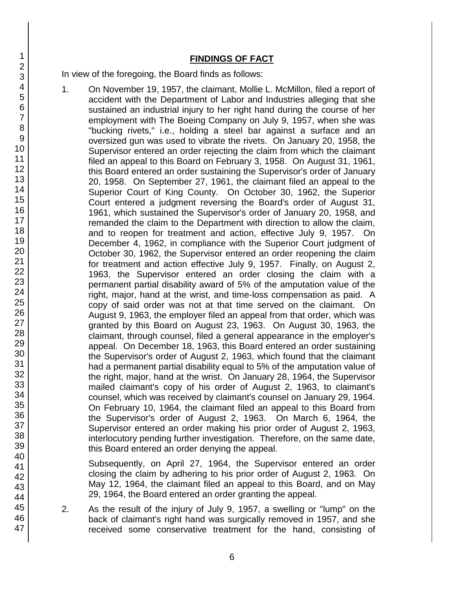### **FINDINGS OF FACT**

In view of the foregoing, the Board finds as follows:

1. On November 19, 1957, the claimant, Mollie L. McMillon, filed a report of accident with the Department of Labor and Industries alleging that she sustained an industrial injury to her right hand during the course of her employment with The Boeing Company on July 9, 1957, when she was "bucking rivets," i.e., holding a steel bar against a surface and an oversized gun was used to vibrate the rivets. On January 20, 1958, the Supervisor entered an order rejecting the claim from which the claimant filed an appeal to this Board on February 3, 1958. On August 31, 1961, this Board entered an order sustaining the Supervisor's order of January 20, 1958. On September 27, 1961, the claimant filed an appeal to the Superior Court of King County. On October 30, 1962, the Superior Court entered a judgment reversing the Board's order of August 31, 1961, which sustained the Supervisor's order of January 20, 1958, and remanded the claim to the Department with direction to allow the claim, and to reopen for treatment and action, effective July 9, 1957. On December 4, 1962, in compliance with the Superior Court judgment of October 30, 1962, the Supervisor entered an order reopening the claim for treatment and action effective July 9, 1957. Finally, on August 2, 1963, the Supervisor entered an order closing the claim with a permanent partial disability award of 5% of the amputation value of the right, major, hand at the wrist, and time-loss compensation as paid. A copy of said order was not at that time served on the claimant. On August 9, 1963, the employer filed an appeal from that order, which was granted by this Board on August 23, 1963. On August 30, 1963, the claimant, through counsel, filed a general appearance in the employer's appeal. On December 18, 1963, this Board entered an order sustaining the Supervisor's order of August 2, 1963, which found that the claimant had a permanent partial disability equal to 5% of the amputation value of the right, major, hand at the wrist. On January 28, 1964, the Supervisor mailed claimant's copy of his order of August 2, 1963, to claimant's counsel, which was received by claimant's counsel on January 29, 1964. On February 10, 1964, the claimant filed an appeal to this Board from the Supervisor's order of August 2, 1963. On March 6, 1964, the Supervisor entered an order making his prior order of August 2, 1963, interlocutory pending further investigation. Therefore, on the same date, this Board entered an order denying the appeal.

Subsequently, on April 27, 1964, the Supervisor entered an order closing the claim by adhering to his prior order of August 2, 1963. On May 12, 1964, the claimant filed an appeal to this Board, and on May 29, 1964, the Board entered an order granting the appeal.

2. As the result of the injury of July 9, 1957, a swelling or "lump" on the back of claimant's right hand was surgically removed in 1957, and she received some conservative treatment for the hand, consisting of